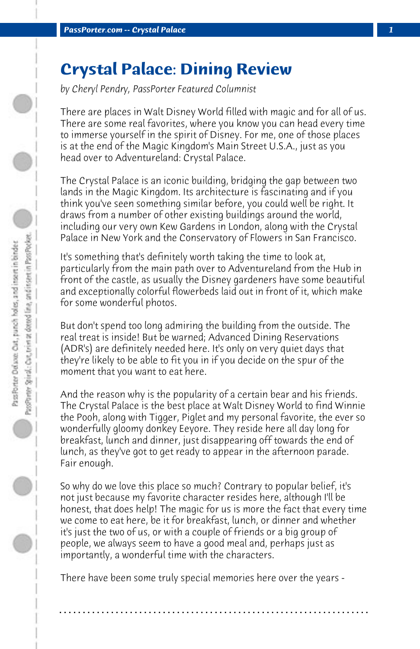## **Crystal Palace: Dining Review**

*by Cheryl Pendry, PassPorter Featured Columnist*

There are places in Walt Disney World filled with magic and for all of us. There are some real favorites, where you know you can head every time to immerse yourself in the spirit of Disney. For me, one of those places is at the end of the Magic Kingdom's Main Street U.S.A., just as you head over to Adventureland: Crystal Palace.

The Crystal Palace is an iconic building, bridging the gap between two lands in the Magic Kingdom. Its architecture is fascinating and if you think you've seen something similar before, you could well be right. It draws from a number of other existing buildings around the world, including our very own Kew Gardens in London, along with the Crystal Palace in New York and the Conservatory of Flowers in San Francisco.

It's something that's definitely worth taking the time to look at, particularly from the main path over to Adventureland from the Hub in front of the castle, as usually the Disney gardeners have some beautiful and exceptionally colorful flowerbeds laid out in front of it, which make for some wonderful photos.

But don't spend too long admiring the building from the outside. The real treat is inside! But be warned; Advanced Dining Reservations (ADR's) are definitely needed here. It's only on very quiet days that they're likely to be able to fit you in if you decide on the spur of the moment that you want to eat here.

And the reason why is the popularity of a certain bear and his friends. The Crystal Palace is the best place at Walt Disney World to find Winnie the Pooh, along with Tigger, Piglet and my personal favorite, the ever so wonderfully gloomy donkey Eeyore. They reside here all day long for breakfast, lunch and dinner, just disappearing off towards the end of lunch, as they've got to get ready to appear in the afternoon parade. Fair enough.

So why do we love this place so much? Contrary to popular belief, it's not just because my favorite character resides here, although I'll be honest, that does help! The magic for us is more the fact that every time we come to eat here, be it for breakfast, lunch, or dinner and whether it's just the two of us, or with a couple of friends or a big group of people, we always seem to have a good meal and, perhaps just as importantly, a wonderful time with the characters.

There have been some truly special memories here over the years -

**. . . . . . . . . . . . . . . . . . . . . . . . . . . . . . . . . . . . . . . . . . . . . . . . . . . . . . . . . . . . . . . . . .**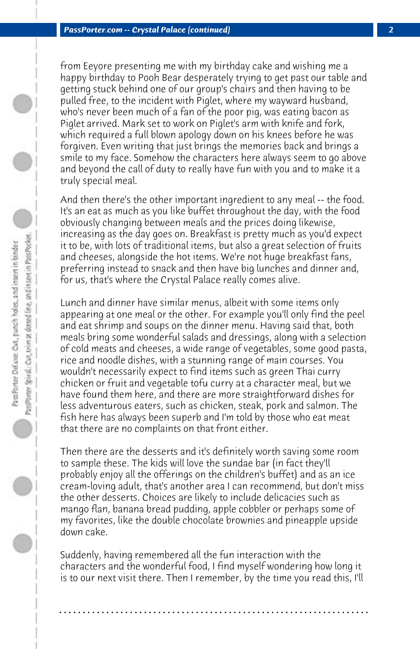from Eeyore presenting me with my birthday cake and wishing me a happy birthday to Pooh Bear desperately trying to get past our table and getting stuck behind one of our group's chairs and then having to be pulled free, to the incident with Piglet, where my wayward husband, who's never been much of a fan of the poor pig, was eating bacon as Piglet arrived. Mark set to work on Piglet's arm with knife and fork, which required a full blown apology down on his knees before he was forgiven. Even writing that just brings the memories back and brings a smile to my face. Somehow the characters here always seem to go above and beyond the call of duty to really have fun with you and to make it a truly special meal.

And then there's the other important ingredient to any meal -- the food. It's an eat as much as you like buffet throughout the day, with the food obviously changing between meals and the prices doing likewise, increasing as the day goes on. Breakfast is pretty much as you'd expect it to be, with lots of traditional items, but also a great selection of fruits and cheeses, alongside the hot items. We're not huge breakfast fans, preferring instead to snack and then have big lunches and dinner and, for us, that's where the Crystal Palace really comes alive.

Lunch and dinner have similar menus, albeit with some items only appearing at one meal or the other. For example you'll only find the peel and eat shrimp and soups on the dinner menu. Having said that, both meals bring some wonderful salads and dressings, along with a selection of cold meats and cheeses, a wide range of vegetables, some good pasta, rice and noodle dishes, with a stunning range of main courses. You wouldn't necessarily expect to find items such as green Thai curry chicken or fruit and vegetable tofu curry at a character meal, but we have found them here, and there are more straightforward dishes for less adventurous eaters, such as chicken, steak, pork and salmon. The fish here has always been superb and I'm told by those who eat meat that there are no complaints on that front either.

Then there are the desserts and it's definitely worth saving some room to sample these. The kids will love the sundae bar (in fact they'll probably enjoy all the offerings on the children's buffet) and as an ice cream-loving adult, that's another area I can recommend, but don't miss the other desserts. Choices are likely to include delicacies such as mango flan, banana bread pudding, apple cobbler or perhaps some of my favorites, like the double chocolate brownies and pineapple upside down cake.

Suddenly, having remembered all the fun interaction with the characters and the wonderful food, I find myself wondering how long it is to our next visit there. Then I remember, by the time you read this, I'll

**. . . . . . . . . . . . . . . . . . . . . . . . . . . . . . . . . . . . . . . . . . . . . . . . . . . . . . . . . . . . . . . . . .**